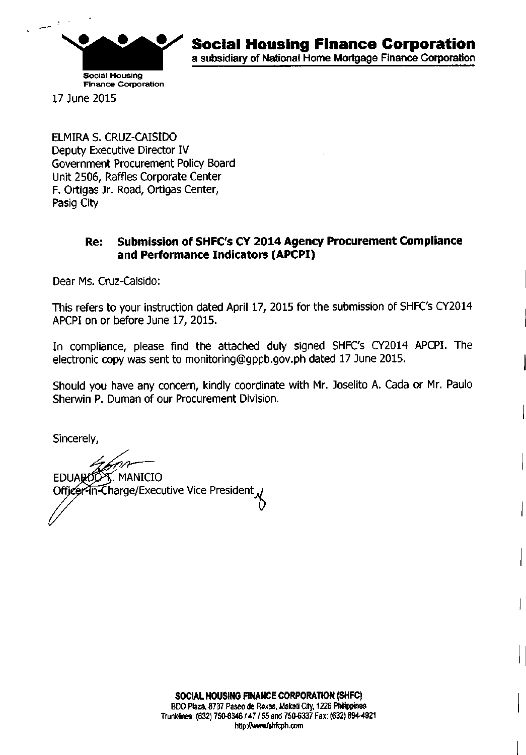

17 June 2015

ELMIRA S. CRUZ-CAISIDO Deputy Executive Director IV Government Procurement Policy Board Unit 2506, Raffles Corporate Center F. Ortigas Jr. Road, Ortigas Center, Pasig City

## Re: Submission of SHFC's CY 2014 Agency Procurement Compliance and Performance Indicators (APCPI)

Dear Ms. Cruz-Caisldo:

This refers to your instruction dated April 17, 2015 for the submission of SHFC's CY2014 APCPI on or before June 17, 2015.

In compliance, please find the attached duly signed SHFC's CY2014 APCPI. The electronic copy was sent to monitoring@gppb.gov.ph dated 17 June 2015.

Should you have any concern, kindly coordinate with Mr. Joselito A. Cada or Mr. Paulo Sherwin P. Duman of our Procurement Division.

Sincerely,

T. MANICIO **EDUARDO** Officer-in-Charge/Executive Vice President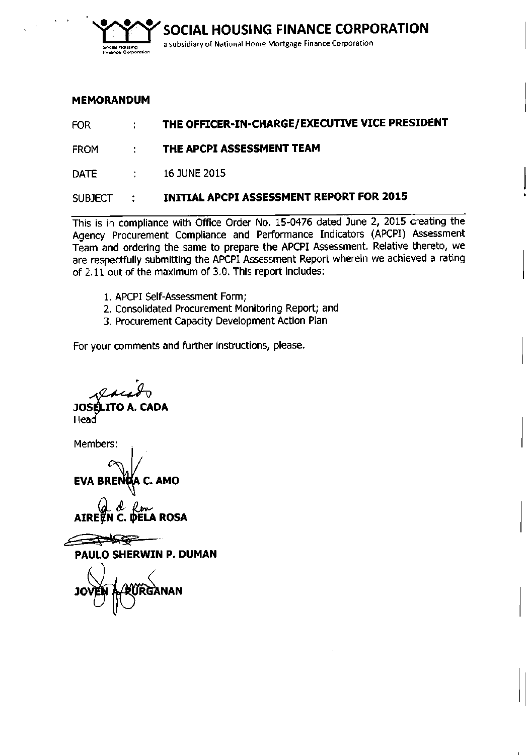

### **MEMORANDUM**

| <b>FOR</b>  | $\sim 1000$              | THE OFFICER-IN-CHARGE/EXECUTIVE VICE PRESIDENT  |
|-------------|--------------------------|-------------------------------------------------|
| <b>FROM</b> | ÷                        | THE APCPI ASSESSMENT TEAM                       |
| <b>DATE</b> | $\sim 1000$ km s $^{-1}$ | <b>16 JUNE 2015</b>                             |
| SUBJECT :   |                          | <b>INITIAL APCPI ASSESSMENT REPORT FOR 2015</b> |
|             |                          |                                                 |

This is in compliance with Office Order No. 15-0476 dated June 2, 2015 creating the Agency Procurement Compliance and Performance Indicators (APCPI) Assessment Team and ordering the same to prepare the APCPI Assessment. Relative thereto, we are respectfully submitting the APCPI Assessment Report wherein we achieved a rating of 2.11 out of the maximum of 3.0. This report includes:

- 1. APCPI Self-Assessment Form;
- 2. Consolidated Procurement Monitoring Report; and
- 3. Procurement Capacity Development Action Plan

For your comments and further instructions, please.

,. **JOSÉLITO A. CADA** 

**Head** 

Members:

EVA BRENDA C. AMO

Ron **DELA ROSA** 

<del>△◇◇</del>

PAULO SHERWIN P. DUMAN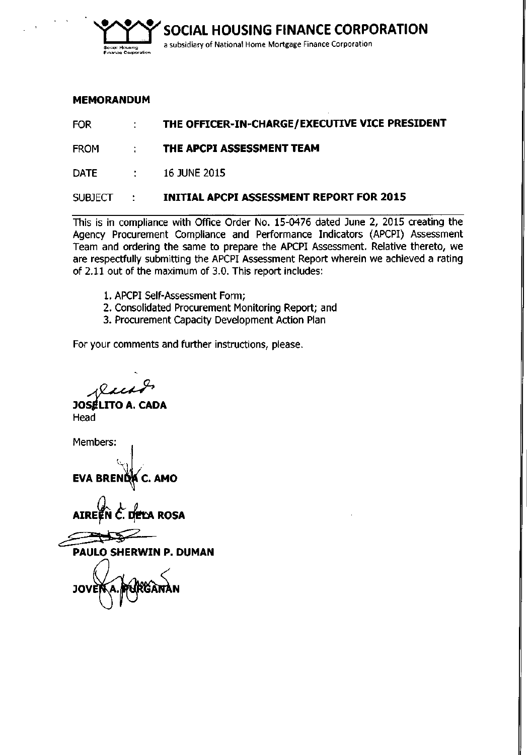

### **MEMORANDUM**

FOR **THE OFFICER-IN-CHARGE/EXECUTIVE VICE PRESIDENT**

FROM **THE APCPI ASSESSMENT TEAM**

DATE : 16 JUNE 2015

### SUBJECT **INITIAL APCPI ASSESSMENT REPORT FOR 2015**

This is in compliance with Office Order No. 15-0476 dated June 2, 2015 creating the Agency Procurement Compliance and Performance Indicators (APCPI) Assessment Team and ordering the same to prepare the APCPI Assessment. Relative thereto, we are respectfully submitting the APCPI Assessment Report wherein we achieved a rating of 2.11 out of the maximum of 3.0. This report includes:

- 1. APCPI Self-Assessment Form;
- 2. Consolidated Procurement Monitoring Report; and
- 3. Procurement Capacity Development Action Plan

For your comments and further instructions, please.

**JOSÉLITO A. CADA** Head

Members:

~

EVA BRE

AIRE~ *t.~* ROSA

**PAULO SHERWIN P. DUMAN**

JOV N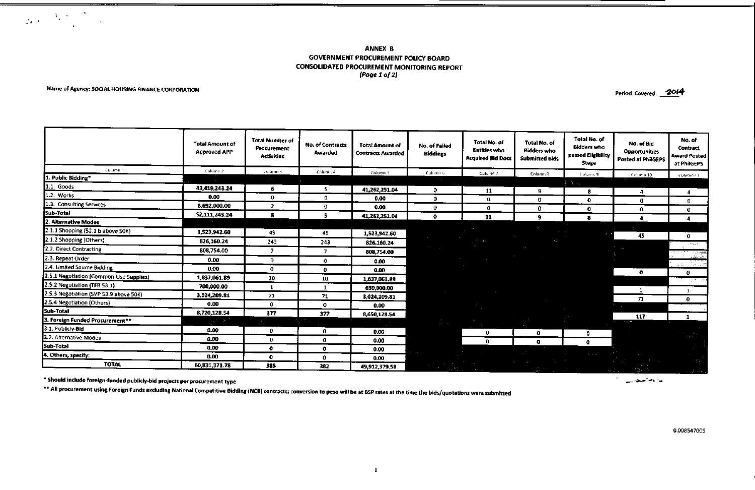#### ANNEX B GOVERNMENT PROCUREMENT POLICY BOARD CONSOLIDATED PROCUREMENT MONITORING REPORT *(Pagel 0/2)*

#### Name of Agency: SOCIAL HOUSING FINANCE CORPORATION

 $\label{eq:2} \frac{1}{2\pi\epsilon^2} \frac{1}{\epsilon^2} \left( \frac{1}{\epsilon^2} \sum_{i=1}^{\infty} \frac{1}{\epsilon^2} \sum_{i=1}^{\infty} \frac{1}{\epsilon^2} \sum_{i=1}^{\infty} \frac{1}{\epsilon^2} \right) \frac{1}{\epsilon^2} \, .$ 

Period Covered: 2014

|                                         | <b>Total Amount of</b><br><b>Approved APP</b> | <b>Total Number of</b><br>Procurement<br><b>Activities</b> | <b>No. of Contracts</b><br>Awarded | <b>Total Amount of</b><br><b>Contracts Awarded</b> | No. of Failed<br><b>Biddings</b>               | Total No. of<br><b>Entities who</b><br><b>Acquired Bid Docs</b> | Total No. of<br><b>Bidders who</b><br><b>Submitted Bids</b> | Total No. of<br><b>Bidders who</b><br>passed Eligibility<br>Stage | No. of Bid<br><b>Opportunities</b><br><b>Posted at PhilGEPS</b> | No. of<br>Contract<br><b>Award Posted</b><br>at PhilGEPS |
|-----------------------------------------|-----------------------------------------------|------------------------------------------------------------|------------------------------------|----------------------------------------------------|------------------------------------------------|-----------------------------------------------------------------|-------------------------------------------------------------|-------------------------------------------------------------------|-----------------------------------------------------------------|----------------------------------------------------------|
| <b>Counter</b> 1                        | Column 2                                      | Column 4                                                   | Column 4                           | Column 5                                           | Cohena 6                                       | Column 2                                                        | Column 8                                                    | <b>Tolumn 9</b>                                                   | Column 10                                                       | Column Lt                                                |
| 1. Public Bidding*                      | $\mathcal{A}_{\mathbf{a},\mathbf{b}}$         |                                                            |                                    |                                                    |                                                |                                                                 |                                                             | the con-                                                          |                                                                 |                                                          |
| 1.1. Goods                              | 43,419,243.24                                 | 6.                                                         | s.                                 | 41,262,251.04                                      | $\mathbf{0}$                                   | 11                                                              | 9                                                           | 8                                                                 | 4                                                               | 4                                                        |
| 1.2. Works                              | 0.00                                          | $\mathbf{0}$                                               | O                                  | 0.00                                               | $\mathbf{0}$                                   | $\bf{0}$                                                        | О.                                                          | $\mathbf{0}$                                                      | 0                                                               | $\bf{0}$                                                 |
| 1.3. Consulting Services                | 8,692,000.00                                  | $\mathbf{2}$                                               | 0.                                 | 0.00                                               | $\mathbf 0$                                    | $\mathbf{0}$                                                    | $\mathbf{0}$                                                | $\mathbf{o}$                                                      | $\Omega$                                                        | $\mathbf{o}$                                             |
| Sub-Total                               | 52,111,243.24                                 | 8                                                          | 5.                                 | 41,262,251.04                                      | ۰                                              | 11                                                              | 9.                                                          | 8                                                                 |                                                                 |                                                          |
| 2. Alternative Modes                    |                                               |                                                            |                                    |                                                    |                                                |                                                                 |                                                             |                                                                   |                                                                 |                                                          |
| 2.1.1 Shopping (52.1 b above SOK)       | 1,523,942.60                                  | 45                                                         | 45                                 | 1,523,942.60                                       |                                                |                                                                 |                                                             |                                                                   | 45                                                              |                                                          |
| 2.1.2 Shopping (Others)                 | 826,160.24                                    | 243                                                        | 243                                | 826,160.24                                         |                                                |                                                                 |                                                             |                                                                   |                                                                 | $\mathbf{0}$<br>en se sin                                |
| 2.2. Direct Contracting                 | 808,754.00                                    | 7                                                          | z,                                 | 808,754.00                                         |                                                |                                                                 |                                                             |                                                                   |                                                                 |                                                          |
| 2.3. Repeat Order                       | 0.00                                          | 0                                                          | $\mathbf{0}$                       | 0.00                                               |                                                |                                                                 |                                                             |                                                                   |                                                                 | <del>التابذين.</del><br>أنا أن طفيف                      |
| 2.4. Limited Source Bidding             | 0.00                                          | $\mathbf 0$                                                | $^{\circ}$                         | 0.00                                               |                                                |                                                                 |                                                             |                                                                   |                                                                 | 조직 그는 작품                                                 |
| 2.5.1 Negotiation (Common-Use Supplies) | 1,837,061.89                                  | 10                                                         | 10                                 | 1,837,061.89                                       |                                                |                                                                 |                                                             |                                                                   | $\mathbf{0}$                                                    | $^{\circ}$<br>and the                                    |
| 2.5.2 Negotiation (TFB 53.1)            | 700,000.00                                    | - 1                                                        |                                    | 630,000.00                                         |                                                |                                                                 |                                                             |                                                                   |                                                                 |                                                          |
| 2.5.3 Negotiation (SVP 53.9 above 50K)  | 3,024,209.81                                  | 71                                                         | 71                                 | 3,024,209.81                                       |                                                |                                                                 |                                                             |                                                                   | $\mathbf{1}$                                                    | $\mathbf{1}$                                             |
| 2.5.4 Negotiation (Others)              | 0.00                                          | $\mathbf{0}$                                               | 0                                  | 0.00                                               |                                                |                                                                 |                                                             |                                                                   | 71                                                              | $\mathbf 0$                                              |
| Sub-Total                               | 8,720,128.54                                  | 377                                                        | 377                                | 8,650,128.54                                       |                                                |                                                                 |                                                             |                                                                   |                                                                 |                                                          |
| 3. Foreign Funded Procurement**         | Æ<br>- 2                                      | T.                                                         |                                    |                                                    |                                                |                                                                 |                                                             |                                                                   | 117                                                             | 1                                                        |
| 3.1. Publicly-Bid                       | 0.00                                          | $\mathbf{0}$                                               | $\mathbf 0$                        | <b>Contract</b><br>0.00                            | $\mathbf{A}$ and $\mathbf{A}$ and $\mathbf{A}$ |                                                                 |                                                             |                                                                   |                                                                 |                                                          |
| 3.2. Alternative Modes                  | 0.00                                          | $\mathbf{0}$                                               | $\mathbf 0$                        | 0.00                                               |                                                | $\mathbf{0}$                                                    | $\mathbf{o}$                                                | $\mathbf{0}$                                                      |                                                                 |                                                          |
| Sub-Total                               | 0.00                                          | $\mathbf{0}$                                               | $\mathbf 0$                        |                                                    |                                                | 0                                                               | О.                                                          | $^{\circ}$                                                        |                                                                 |                                                          |
| 4. Others, specify:                     | 0.00                                          | $\mathbf{0}$                                               | $^{\circ}$                         | 0.00<br>0.00                                       |                                                |                                                                 |                                                             | $\sim$ $\sim$ $\sim$                                              |                                                                 |                                                          |
| <b>TOTAL</b>                            | 60,831,371.78                                 | 385                                                        | 382                                |                                                    |                                                |                                                                 |                                                             |                                                                   |                                                                 |                                                          |
|                                         |                                               |                                                            |                                    | 49,912,379.58                                      | 2000                                           |                                                                 |                                                             |                                                                   |                                                                 |                                                          |

\* Should include foreign-funded publicly-bid projects per procurement type

\*\* All procurement using Foreign Funds excluding National Competitive Bidding (NCB) contracts; conversion to peso will be at BSP rates at the time the bids/quotations were submitted

يداءها مبجابين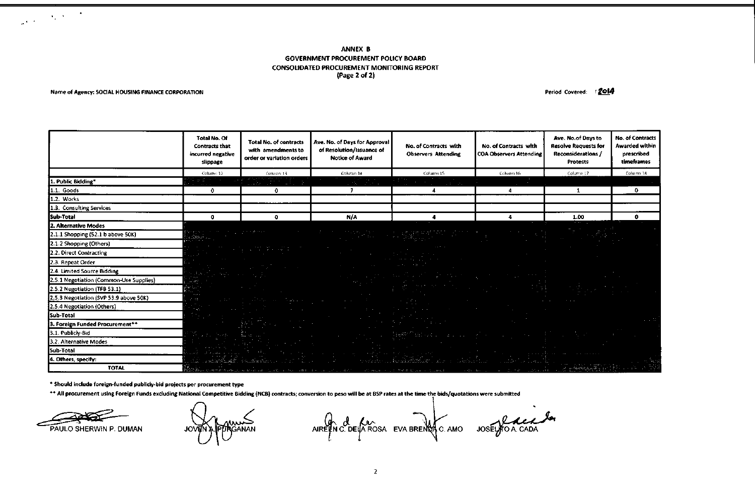#### ANNEX B GOVERNMENT PROCUREMENT POLICY BOARD CONSOLIDATED PROCUREMENT MONITORING REPORT (Page 2 of 2)

#### Name of Agency: SOCIAL HOUSING FINANCE CORPORATION **Period Covered:** *r*  $\frac{2014}{4}$

 $\label{eq:2} \frac{1}{\sqrt{2\pi}\sqrt{2}}\left(\frac{1}{\sqrt{2}}\right)^{2} \left(\frac{1}{\sqrt{2}}\right)^{2} \left(\frac{1}{\sqrt{2}}\right)^{2}$ 

|                                         | Total No. Of<br><b>Contracts that</b><br>incurred negative<br>slippage                                                                                                                                                                                                                           | <b>Total No. of contracts</b><br>with amendments to<br>order or variation orders                                        | Ave. No. of Days for Approval<br>of Resolution/Issuance of<br><b>Notice of Award</b> | No. of Contracts with<br><b>Observers Attending</b>                                                                                 | No. of Contracts with<br><b>COA Observers Attending</b> | Ave. No.of Days to<br><b>Resolve Requests for</b><br><b>Reconsiderations /</b><br><b>Protests</b>                                                                                                                                                             | <b>No. of Contracts</b><br><b>Awarded within</b><br>prescribed<br>timeframes |
|-----------------------------------------|--------------------------------------------------------------------------------------------------------------------------------------------------------------------------------------------------------------------------------------------------------------------------------------------------|-------------------------------------------------------------------------------------------------------------------------|--------------------------------------------------------------------------------------|-------------------------------------------------------------------------------------------------------------------------------------|---------------------------------------------------------|---------------------------------------------------------------------------------------------------------------------------------------------------------------------------------------------------------------------------------------------------------------|------------------------------------------------------------------------------|
|                                         | Column 12                                                                                                                                                                                                                                                                                        | Column 13                                                                                                               | Column 14                                                                            | Column 15                                                                                                                           | Column 16                                               | Column 17                                                                                                                                                                                                                                                     | Column 18                                                                    |
| 1. Public Bidding*                      |                                                                                                                                                                                                                                                                                                  | je s                                                                                                                    |                                                                                      |                                                                                                                                     |                                                         |                                                                                                                                                                                                                                                               |                                                                              |
| 1.1. Goods                              | 0.                                                                                                                                                                                                                                                                                               | 0.                                                                                                                      |                                                                                      |                                                                                                                                     | 4                                                       | 1                                                                                                                                                                                                                                                             | $\mathbf{o}$                                                                 |
| 1.2. Works                              |                                                                                                                                                                                                                                                                                                  |                                                                                                                         |                                                                                      |                                                                                                                                     |                                                         |                                                                                                                                                                                                                                                               |                                                                              |
| 1.3. Consulting Services                |                                                                                                                                                                                                                                                                                                  |                                                                                                                         |                                                                                      |                                                                                                                                     |                                                         |                                                                                                                                                                                                                                                               |                                                                              |
| Sub-Total                               | o                                                                                                                                                                                                                                                                                                | ۰                                                                                                                       | N/A                                                                                  |                                                                                                                                     | 4                                                       | 1.00                                                                                                                                                                                                                                                          | 0.                                                                           |
| 2. Alternative Modes                    |                                                                                                                                                                                                                                                                                                  |                                                                                                                         |                                                                                      |                                                                                                                                     |                                                         |                                                                                                                                                                                                                                                               |                                                                              |
| 2.1.1 Shopping (52.1 b above 50K)       |                                                                                                                                                                                                                                                                                                  |                                                                                                                         |                                                                                      |                                                                                                                                     |                                                         |                                                                                                                                                                                                                                                               |                                                                              |
| 2.1.2 Shopping (Others)                 |                                                                                                                                                                                                                                                                                                  |                                                                                                                         |                                                                                      |                                                                                                                                     |                                                         |                                                                                                                                                                                                                                                               |                                                                              |
| 2.2. Direct Contracting                 |                                                                                                                                                                                                                                                                                                  |                                                                                                                         |                                                                                      |                                                                                                                                     |                                                         |                                                                                                                                                                                                                                                               |                                                                              |
| 2.3. Repeat Order                       |                                                                                                                                                                                                                                                                                                  |                                                                                                                         |                                                                                      |                                                                                                                                     |                                                         |                                                                                                                                                                                                                                                               |                                                                              |
| 2.4. Limited Source Bidding             | $\label{eq:2} \mathcal{H}_{\mathcal{A}}\left(\mathcal{B},\mathcal{H}_{\mathcal{A}}\right) = \mathcal{H}_{\mathcal{A}}\left(\mathcal{H}_{\mathcal{A}}\right) = \mathcal{H}_{\mathcal{A}}\left(\mathcal{H}_{\mathcal{A}}\right) = \mathcal{H}_{\mathcal{A}}\left(\mathcal{H}_{\mathcal{A}}\right)$ | $\mathcal{R}^{\text{max}}$ and $\mathcal{R}^{\text{max}}$ and $\mathcal{R}^{\text{max}}$ and $\mathcal{R}^{\text{max}}$ |                                                                                      |                                                                                                                                     |                                                         |                                                                                                                                                                                                                                                               |                                                                              |
| 2.5.1 Negotiation (Common-Use Supplies) |                                                                                                                                                                                                                                                                                                  |                                                                                                                         | and the control of the control of the                                                |                                                                                                                                     |                                                         |                                                                                                                                                                                                                                                               |                                                                              |
| 2.5.2 Negotiation (TFB 53.1)            |                                                                                                                                                                                                                                                                                                  |                                                                                                                         |                                                                                      |                                                                                                                                     |                                                         |                                                                                                                                                                                                                                                               |                                                                              |
| 2.5.3 Negotiation (SVP 53.9 above 50K)  | $-11$                                                                                                                                                                                                                                                                                            | a di segundake se sakakan                                                                                               | $\mathcal{L}^{\text{max}}$                                                           |                                                                                                                                     |                                                         |                                                                                                                                                                                                                                                               |                                                                              |
| 2.5.4 Negotiation (Others)              |                                                                                                                                                                                                                                                                                                  |                                                                                                                         |                                                                                      |                                                                                                                                     |                                                         |                                                                                                                                                                                                                                                               |                                                                              |
| Sub-Total                               |                                                                                                                                                                                                                                                                                                  |                                                                                                                         |                                                                                      |                                                                                                                                     |                                                         |                                                                                                                                                                                                                                                               |                                                                              |
| 3. Foreign Funded Procurement**         |                                                                                                                                                                                                                                                                                                  | 藤原 ひとん しょう                                                                                                              |                                                                                      |                                                                                                                                     |                                                         |                                                                                                                                                                                                                                                               |                                                                              |
| 3.1. Publicly-Bid                       | <u> Alban ann an S</u>                                                                                                                                                                                                                                                                           | aka sa mga mga kalendar                                                                                                 |                                                                                      | 1994년 1월 1일 : 1월 1일 1일 <mark>11월 1</mark> 3월 14일 1월 1일 1월 1일 1월 1일 1월 1일 1월 1일 1월 1일 1월 1일 1월 1일 1월 1일 1월 1일 1월 1일 1월 1일 1월 1<br>대학 |                                                         |                                                                                                                                                                                                                                                               |                                                                              |
| 3.2. Alternative Modes                  |                                                                                                                                                                                                                                                                                                  |                                                                                                                         |                                                                                      |                                                                                                                                     |                                                         |                                                                                                                                                                                                                                                               |                                                                              |
| Sub-Total                               |                                                                                                                                                                                                                                                                                                  |                                                                                                                         |                                                                                      |                                                                                                                                     |                                                         |                                                                                                                                                                                                                                                               |                                                                              |
| 4. Others, specify:                     |                                                                                                                                                                                                                                                                                                  | All controls of the standard control of the                                                                             |                                                                                      |                                                                                                                                     |                                                         |                                                                                                                                                                                                                                                               |                                                                              |
| <b>TOTAL</b>                            | <b>Brown and</b>                                                                                                                                                                                                                                                                                 |                                                                                                                         |                                                                                      |                                                                                                                                     |                                                         | $\mathcal{L}^{\mathcal{L}}(\mathcal{L}^{\mathcal{L}}_{\mathcal{L}}\otimes\mathcal{L}^{\mathcal{L}}_{\mathcal{L}}\otimes\mathcal{L}^{\mathcal{L}}_{\mathcal{L}}\otimes\mathcal{L}^{\mathcal{L}}_{\mathcal{L}}\otimes\mathcal{L}^{\mathcal{L}}_{\mathcal{L}}))$ |                                                                              |

#### \* Should include foreign-funded publicly-bid projects per procurement type

\*\* All procurement using Foreign Funds excluding National Competitive Bidding (NCB) contracts; conversion to peso will be at BSP rates at the time the bids/quotations were submitted

PAULO SHERWIN P. DUMAN JOVEN A PPROANAN AIREEN C. DELA ROSA EVA BRENCA C. AMO JOSELHO A CADA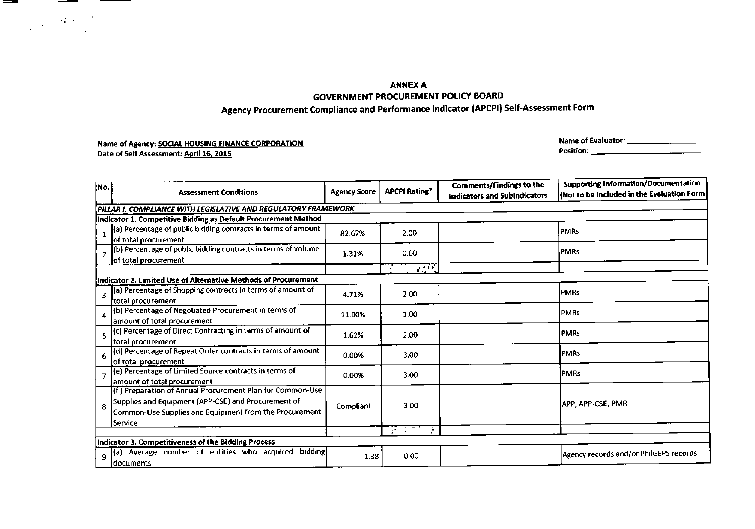### ANNEXA GOVERNMENT PROCUREMENT POLICY BOARD Agency Procurement Compliance and Performance Indicator (APCPI) Self-Assessment Form

### Name of Agency: SOCIAL HOUSING FINANCE CORPORATION Date of Self Assessment: April 16. 2015

Name of Evaluator: \_ Position: \_

| No.<br><b>Assessment Conditions</b>                                                                                                                                                   | <b>Agency Score</b>                                                                                                                                                                                                                                                                                                 | <b>APCPI Rating*</b>                            | Comments/Findings to the<br><b>Indicators and SubIndicators</b> | <b>Supporting Information/Documentation</b><br>(Not to be included in the Evaluation Form) |  |  |  |  |
|---------------------------------------------------------------------------------------------------------------------------------------------------------------------------------------|---------------------------------------------------------------------------------------------------------------------------------------------------------------------------------------------------------------------------------------------------------------------------------------------------------------------|-------------------------------------------------|-----------------------------------------------------------------|--------------------------------------------------------------------------------------------|--|--|--|--|
| PILLAR I. COMPLIANCE WITH LEGISLATIVE AND REGULATORY FRAMEWORK                                                                                                                        |                                                                                                                                                                                                                                                                                                                     |                                                 |                                                                 |                                                                                            |  |  |  |  |
| Indicator 1. Competitive Bidding as Default Procurement Method                                                                                                                        |                                                                                                                                                                                                                                                                                                                     |                                                 |                                                                 |                                                                                            |  |  |  |  |
| (a) Percentage of public bidding contracts in terms of amount                                                                                                                         | 82.67%                                                                                                                                                                                                                                                                                                              | 2.00                                            |                                                                 | <b>IPMRs</b>                                                                               |  |  |  |  |
| (b) Percentage of public bidding contracts in terms of volume                                                                                                                         | 1.31%                                                                                                                                                                                                                                                                                                               | 0.00                                            |                                                                 | <b>PMRs</b>                                                                                |  |  |  |  |
|                                                                                                                                                                                       |                                                                                                                                                                                                                                                                                                                     |                                                 |                                                                 |                                                                                            |  |  |  |  |
|                                                                                                                                                                                       |                                                                                                                                                                                                                                                                                                                     |                                                 |                                                                 |                                                                                            |  |  |  |  |
| (a) Percentage of Shopping contracts in terms of amount of                                                                                                                            | 4.71%                                                                                                                                                                                                                                                                                                               | 2.00                                            |                                                                 | <b>PMRs</b>                                                                                |  |  |  |  |
| (b) Percentage of Negotiated Procurement in terms of<br>4                                                                                                                             | 11.00%                                                                                                                                                                                                                                                                                                              | 1.00                                            |                                                                 | <b>IPMRs</b>                                                                               |  |  |  |  |
| (c) Percentage of Direct Contracting in terms of amount of                                                                                                                            | 1.62%                                                                                                                                                                                                                                                                                                               | 2.00                                            |                                                                 | <b>IPMRs</b>                                                                               |  |  |  |  |
| (d) Percentage of Repeat Order contracts in terms of amount                                                                                                                           | 0.00%                                                                                                                                                                                                                                                                                                               | 3.00                                            |                                                                 | <b>IPMRs</b>                                                                               |  |  |  |  |
| (e) Percentage of Limited Source contracts in terms of                                                                                                                                | 0.00%                                                                                                                                                                                                                                                                                                               | 3.00                                            |                                                                 | <b>IPMRs</b>                                                                               |  |  |  |  |
| (f) Preparation of Annual Procurement Plan for Common-Use<br>Supplies and Equipment (APP-CSE) and Procurement of<br>Common-Use Supplies and Equipment from the Procurement<br>Service | Compliant                                                                                                                                                                                                                                                                                                           | 3.00                                            |                                                                 | IAPP. APP-CSE, PMR                                                                         |  |  |  |  |
|                                                                                                                                                                                       |                                                                                                                                                                                                                                                                                                                     | ÷<br>$\overline{\mathcal{M}}$                   |                                                                 |                                                                                            |  |  |  |  |
|                                                                                                                                                                                       |                                                                                                                                                                                                                                                                                                                     |                                                 |                                                                 |                                                                                            |  |  |  |  |
| (a)                                                                                                                                                                                   |                                                                                                                                                                                                                                                                                                                     | 0.00                                            |                                                                 | Agency records and/or PhilGEPS records                                                     |  |  |  |  |
|                                                                                                                                                                                       | lof total procurement<br>of total procurement<br>Indicator 2. Limited Use of Alternative Methods of Procurement<br>total procurement<br>amount of total procurement<br>total procurement<br>of total procurement<br>amount of total procurement<br>Indicator 3. Competitiveness of the Bidding Process<br>documents | Average number of entities who acquired bidding | <br>1.38                                                        |                                                                                            |  |  |  |  |

 $\label{eq:2} \frac{1}{\sqrt{2}}\int_{\mathbb{R}^3} \frac{1}{\sqrt{2}}\left(\frac{1}{\sqrt{2}}\right)^2\frac{1}{\sqrt{2}}\left(\frac{1}{\sqrt{2}}\right)^2\frac{1}{\sqrt{2}}\left(\frac{1}{\sqrt{2}}\right)^2\frac{1}{\sqrt{2}}\left(\frac{1}{\sqrt{2}}\right)^2.$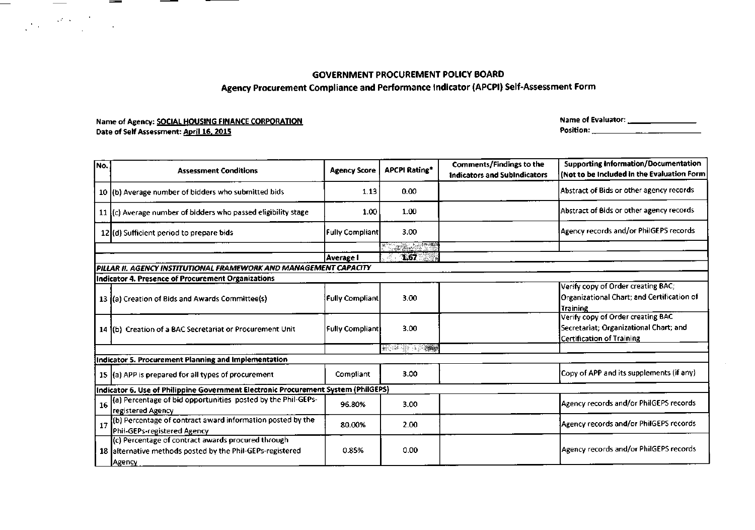Agency Procurement Compliance and Performance Indicator (APCPI) Self-Assessment Form

### Name of Agency: SOCIAL HOUSING FINANCE CORPORATION Date of Self Assessment: April 16, 2015

 $\frac{1}{\sqrt{2}}$ 

 $\label{eq:2} \frac{1}{\sqrt{2}}\int_{\mathbb{R}^3}\frac{1}{\sqrt{2}}\left(\frac{1}{\sqrt{2}}\right)^2\frac{dx}{\sqrt{2}}\,dx\leq \frac{1}{\sqrt{2}}\int_{\mathbb{R}^3}\frac{1}{\sqrt{2}}\frac{dx}{\sqrt{2}}\leq \frac{1}{\sqrt{2}}\int_{\mathbb{R}^3}\frac{1}{\sqrt{2}}\frac{dx}{\sqrt{2}}\leq \frac{1}{\sqrt{2}}\int_{\mathbb{R}^3}\frac{1}{\sqrt{2}}\frac{dx}{\sqrt{2}}\leq \frac{1}{\sqrt{2}}\int_{\mathbb{R$ 

<u>e de la construcción de la construcción de la construcción de la construcción de la construcción de la constru</u>

-

Name of Evaluator: \_\_\_\_\_\_\_\_\_\_\_\_\_\_\_\_\_\_ Position: \_

| No. | <b>Assessment Conditions</b>                                                                                              | <b>Agency Score</b>      | <b>APCPI Rating*</b>                                                                                                   | <b>Comments/Findings to the</b><br><b>Indicators and SubIndicators</b> | <b>Supporting Information/Documentation</b><br>(Not to be Included in the Evaluation Form                       |
|-----|---------------------------------------------------------------------------------------------------------------------------|--------------------------|------------------------------------------------------------------------------------------------------------------------|------------------------------------------------------------------------|-----------------------------------------------------------------------------------------------------------------|
|     | 10 (b) Average number of bidders who submitted bids                                                                       | 1.13                     | 0.00                                                                                                                   |                                                                        | Abstract of Bids or other agency records                                                                        |
|     | 11 (c) Average number of bidders who passed eligibility stage                                                             | 1.00                     | 1.00                                                                                                                   |                                                                        | Abstract of Bids or other agency records                                                                        |
|     | 12(d) Sufficient period to prepare bids                                                                                   | <b>Fully Compliant</b>   | 3.00                                                                                                                   |                                                                        | Agency records and/or PhilGEPS records                                                                          |
|     |                                                                                                                           |                          | e da a mendi                                                                                                           |                                                                        |                                                                                                                 |
|     |                                                                                                                           | Average I                | 1.67<br>- 11                                                                                                           |                                                                        |                                                                                                                 |
|     | PILLAR II. AGENCY INSTITUTIONAL FRAMEWORK AND MANAGEMENT CAPACITY                                                         |                          |                                                                                                                        |                                                                        |                                                                                                                 |
|     | Indicator 4. Presence of Procurement Organizations                                                                        |                          |                                                                                                                        |                                                                        |                                                                                                                 |
|     | 13 (a) Creation of Bids and Awards Committee(s)                                                                           | <b>Fully Compliant</b>   | 3.00                                                                                                                   |                                                                        | Verify copy of Order creating BAC;<br>Organizational Chart; and Certification of<br>Training                    |
|     | 14 (b) Creation of a BAC Secretariat or Procurement Unit                                                                  | <b> Fully Compliant </b> | 3.00                                                                                                                   |                                                                        | Verify copy of Order creating BAC<br>Secretariat; Organizational Chart; and<br><b>Certification of Training</b> |
|     |                                                                                                                           |                          | <b>The Contract of the Contract of the Contract of the Contract of the Contract of the Contract of the Contract of</b> |                                                                        |                                                                                                                 |
|     | Indicator 5. Procurement Planning and Implementation                                                                      |                          |                                                                                                                        |                                                                        |                                                                                                                 |
|     | 15 (a) APP is prepared for all types of procurement                                                                       | Compliant                | 3.00                                                                                                                   |                                                                        | Copy of APP and its supplements (if any)                                                                        |
|     | Indicator 6. Use of Philippine Government Electronic Procurement System (PhilGEPS)                                        |                          |                                                                                                                        |                                                                        |                                                                                                                 |
| 16  | (a) Percentage of bid opportunities posted by the Phil-GEPs-<br>registered Agency                                         | 96.80%                   | 3.00                                                                                                                   |                                                                        | Agency records and/or PhilGEPS records                                                                          |
| 17  | (b) Percentage of contract award information posted by the<br>Phil-GEPs-registered Agency                                 | 80.00%                   | 2.00                                                                                                                   |                                                                        | Agency records and/or PhilGEPS records                                                                          |
|     | (c) Percentage of contract awards procured through<br>18 afternative methods posted by the Phil-GEPs-registered<br>Agency | 0.85%                    | 0.00                                                                                                                   |                                                                        | Agency records and/or PhilGEPS records                                                                          |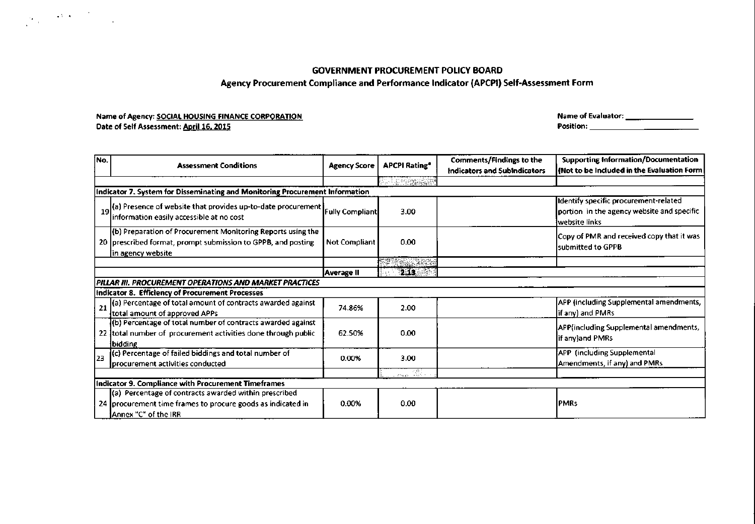### **Agency Procurement Compliance and Performance Indicator (APCPI) Self-Assessment Form**

### **Name of Agency: SOCIALHOUSING FINANCECORPORATION Date of Self Assessment:** April 16, **2015**

 $\label{eq:2.1} \frac{1}{\sqrt{2\pi}}\int_{\mathbb{R}^3}\frac{1}{\sqrt{2\pi}}\left(\frac{1}{\sqrt{2\pi}}\frac{1}{\sqrt{2\pi}}\right)\frac{1}{\sqrt{2\pi}}\frac{1}{\sqrt{2\pi}}\frac{1}{\sqrt{2\pi}}\frac{1}{\sqrt{2\pi}}\frac{1}{\sqrt{2\pi}}\frac{1}{\sqrt{2\pi}}\frac{1}{\sqrt{2\pi}}\frac{1}{\sqrt{2\pi}}\frac{1}{\sqrt{2\pi}}\frac{1}{\sqrt{2\pi}}\frac{1}{\sqrt{2\pi}}\frac{1}{\sqrt{2\pi}}\frac{1$ 

**Name of Evaluator: \_ Position: \_**

| No. | <b>Assessment Conditions</b>                                                                                                                              | <b>Agency Score</b> | <b>APCPI Rating*</b>                                                                                                                                                                                                           | Comments/Findings to the            | <b>Supporting Information/Documentation</b>                                                          |  |  |  |  |  |
|-----|-----------------------------------------------------------------------------------------------------------------------------------------------------------|---------------------|--------------------------------------------------------------------------------------------------------------------------------------------------------------------------------------------------------------------------------|-------------------------------------|------------------------------------------------------------------------------------------------------|--|--|--|--|--|
|     |                                                                                                                                                           |                     |                                                                                                                                                                                                                                | <b>Indicators and SubIndicators</b> | (Not to be Included in the Evaluation Form                                                           |  |  |  |  |  |
|     | <b>SEARCHERS</b>                                                                                                                                          |                     |                                                                                                                                                                                                                                |                                     |                                                                                                      |  |  |  |  |  |
|     | Indicator 7. System for Disseminating and Monitoring Procurement Information                                                                              |                     |                                                                                                                                                                                                                                |                                     |                                                                                                      |  |  |  |  |  |
|     | 19(a) Presence of website that provides up-to-date procurement Fully Compliant<br>information easily accessible at no cost                                |                     | 3.00                                                                                                                                                                                                                           |                                     | Identify specific procurement-related<br>portion in the agency website and specific<br>website links |  |  |  |  |  |
|     | (b) Preparation of Procurement Monitoring Reports using the<br>20 prescribed format, prompt submission to GPPB, and posting<br><u>[in agency website]</u> | Not Compliant       | 0.00                                                                                                                                                                                                                           |                                     | Copy of PMR and received copy that it was<br>lsubmitted to GPPB                                      |  |  |  |  |  |
|     |                                                                                                                                                           |                     | 2000 - 2000 - 2000 - 2000 - 2000 - 2000 - 2000 - 2000 - 2000 - 2000 - 2000 - 2000 - 2000 - 2000 - 2000 - 2000<br>2000 - 2000 - 2000 - 2000 - 2000 - 2000 - 2000 - 2000 - 2000 - 2000 - 2000 - 2000 - 2000 - 2000 - 2000 - 2000 |                                     |                                                                                                      |  |  |  |  |  |
|     |                                                                                                                                                           | Average II          | 2.13                                                                                                                                                                                                                           |                                     |                                                                                                      |  |  |  |  |  |
|     | PILLAR III. PROCUREMENT OPERATIONS AND MARKET PRACTICES                                                                                                   |                     |                                                                                                                                                                                                                                |                                     |                                                                                                      |  |  |  |  |  |
|     | Indicator 8. Efficiency of Procurement Processes                                                                                                          |                     |                                                                                                                                                                                                                                |                                     |                                                                                                      |  |  |  |  |  |
| 21  | (a) Percentage of total amount of contracts awarded against<br>total amount of approved APPs                                                              | 74.86%              | 2.00                                                                                                                                                                                                                           |                                     | APP (including Supplemental amendments,<br>if any) and PMRs                                          |  |  |  |  |  |
|     | (b) Percentage of total number of contracts awarded against<br>22 Itotal number of procurement activities done through public<br><b>Ibidding</b>          | 62.50%              | 0.00                                                                                                                                                                                                                           |                                     | APP(including Supplemental amendments,<br>if any)and PMRs                                            |  |  |  |  |  |
| 23  | (c) Percentage of failed biddings and total number of<br>Iprocurement activities conducted                                                                | 0.00%               | 3.00                                                                                                                                                                                                                           |                                     | APP (including Supplemental<br>Amendments, if any) and PMRs                                          |  |  |  |  |  |
|     |                                                                                                                                                           |                     | $\frac{1}{2\pi\log n}$                                                                                                                                                                                                         |                                     |                                                                                                      |  |  |  |  |  |
|     | Indicator 9. Compliance with Procurement Timeframes                                                                                                       |                     |                                                                                                                                                                                                                                |                                     |                                                                                                      |  |  |  |  |  |
|     | (a) Percentage of contracts awarded within prescribed                                                                                                     |                     |                                                                                                                                                                                                                                |                                     |                                                                                                      |  |  |  |  |  |
|     | 24 procurement time frames to procure goods as indicated in<br>Annex "C" of the IRR                                                                       | 0.00%               | 0.00                                                                                                                                                                                                                           |                                     | <b>PMRs</b>                                                                                          |  |  |  |  |  |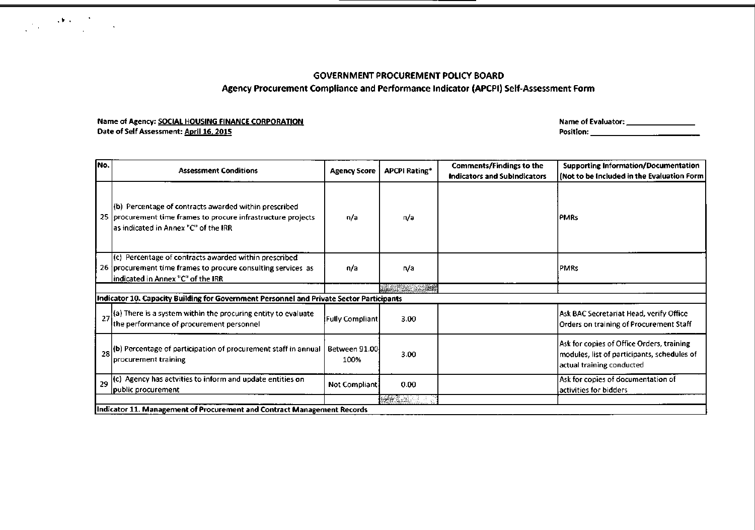### Agency Procurement Compliance and Performance Indicator (APCPI) Self-Assessment Form

### Name of Agency: SOCIAL HOUSING FINANCE CORPORATION Date of Self Assessment: April 16, 2015

 $\label{eq:1} \frac{1}{\sqrt{2\pi}}\sum_{i=1}^N\frac{1}{\sqrt{2\pi}}\sum_{i=1}^N\frac{1}{\sqrt{2\pi}}\sum_{i=1}^N\frac{1}{\sqrt{2\pi}}\sum_{i=1}^N\frac{1}{\sqrt{2\pi}}\sum_{i=1}^N\frac{1}{\sqrt{2\pi}}\sum_{i=1}^N\frac{1}{\sqrt{2\pi}}\sum_{i=1}^N\frac{1}{\sqrt{2\pi}}\sum_{i=1}^N\frac{1}{\sqrt{2\pi}}\sum_{i=1}^N\frac{1}{\sqrt{2\pi}}\sum_{i=1}^N\frac{$ 

Name of Evaluator: \_\_\_\_\_\_\_\_\_\_\_\_\_\_\_\_\_ Position: \_

| INo. | <b>Assessment Conditions</b>                                                                                                                                   | <b>Agency Score</b>    | <b>APCPI Rating*</b>                                                                                                 | <b>Comments/Findings to the</b><br><b>Indicators and SubIndicators</b> | <b>Supporting Information/Documentation</b><br>(Not to be Included in the Evaluation Form                             |
|------|----------------------------------------------------------------------------------------------------------------------------------------------------------------|------------------------|----------------------------------------------------------------------------------------------------------------------|------------------------------------------------------------------------|-----------------------------------------------------------------------------------------------------------------------|
|      | (b) Percentage of contracts awarded within prescribed<br>25 procurement time frames to procure infrastructure projects<br>as indicated in Annex "C" of the IRR | n/a                    | n/a                                                                                                                  |                                                                        | <b>IPMRs</b>                                                                                                          |
|      | (c) Percentage of contracts awarded within prescribed<br>26 procurement time frames to procure consulting services as<br> indicated in Annex "C" of the IRR    | n/a                    | n/a                                                                                                                  |                                                                        | <b>PMRs</b>                                                                                                           |
|      |                                                                                                                                                                |                        | <u> Liberal Serges and Serges and Serges and Serges and Serges and Serges and Serges and Serges and Serges and S</u> |                                                                        |                                                                                                                       |
|      | Indicator 10. Capacity Building for Government Personnel and Private Sector Participants                                                                       |                        |                                                                                                                      |                                                                        |                                                                                                                       |
|      | $27$ (a) There is a system within the procuring entity to evaluate<br>the performance of procurement personnel                                                 | <b>Fully Compliant</b> | 3.00                                                                                                                 |                                                                        | Ask BAC Secretariat Head, verify Office <br>Orders on training of Procurement Staff                                   |
|      | 28 (b) Percentage of participation of procurement staff in annual<br>procurement training                                                                      | Between 91.00<br>100%  | 3.00                                                                                                                 |                                                                        | Ask for copies of Office Orders, training<br>modules, list of participants, schedules of<br>actual training conducted |
|      | 29 (c) Agency has actvities to inform and update entities on<br>public procurement                                                                             | Not Compliant          | 0.00                                                                                                                 |                                                                        | Ask for copies of documentation of<br>activities for bidders                                                          |
|      |                                                                                                                                                                |                        | <b>BERGRAD</b>                                                                                                       |                                                                        |                                                                                                                       |
|      | Indicator 11. Management of Procurement and Contract Management Records                                                                                        |                        |                                                                                                                      |                                                                        |                                                                                                                       |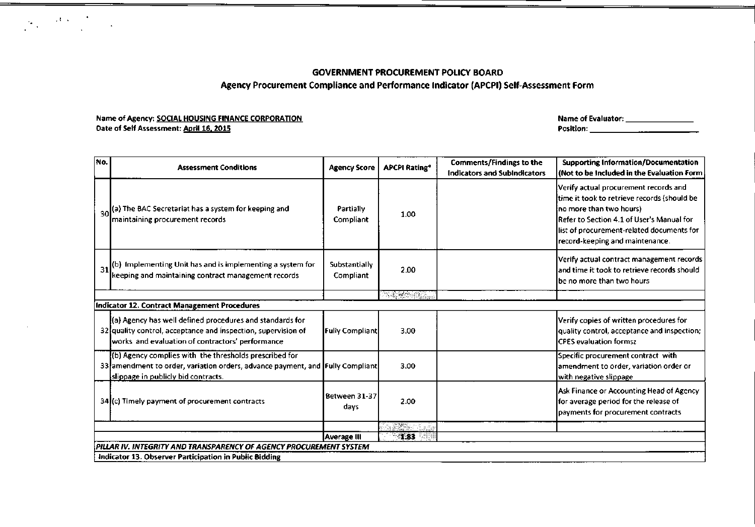### **GOVERNMENT PROCUREMENT POLICY BOARD Agency Procurement Compliance and Performance Indicator (APCPI) Self-Assessment Form**

### **Name of Agency: SOCIALHOUSING FINANCECORPORATION Date of Self Assessment:** April 16.**2015**

 $\mathcal{P}_{\mathcal{P}_{\mathcal{P}_{\mathcal{P}_{\mathcal{P}_{\mathcal{P}}}}}}(\mathcal{A},\mathcal{P}_{\mathcal{P}_{\mathcal{P}_{\mathcal{P}_{\mathcal{P}}}}}})$ 

 $\sim 10$ 

**Name of Evaluator: \_**

| No.                                                    | <b>Assessment Conditions</b>                                                                                                                                                   | <b>Agency Score</b>           | <b>APCPI Rating*</b>    | <b>Comments/Findings to the</b><br><b>Indicators and SubIndicators</b> | <b>Supporting Information/Documentation</b><br>(Not to be included in the Evaluation Form                                                                                                                                                    |  |  |  |  |
|--------------------------------------------------------|--------------------------------------------------------------------------------------------------------------------------------------------------------------------------------|-------------------------------|-------------------------|------------------------------------------------------------------------|----------------------------------------------------------------------------------------------------------------------------------------------------------------------------------------------------------------------------------------------|--|--|--|--|
| 30                                                     | (a) The BAC Secretariat has a system for keeping and<br>maintaining procurement records                                                                                        | <b>Partially</b><br>Compliant | 1.00                    |                                                                        | Verify actual procurement records and<br>time it took to retrieve records (should be<br>no more than two hours)<br>Refer to Section 4.1 of User's Manual for<br>list of procurement-related documents for<br>record-keeping and maintenance. |  |  |  |  |
| 31                                                     | (b) Implementing Unit has and is implementing a system for<br>keeping and maintaining contract management records                                                              | Substantially<br>Compliant    | 2.00                    |                                                                        | Verify actual contract management records<br>and time it took to retrieve records should<br>lbe no more than two hours                                                                                                                       |  |  |  |  |
|                                                        | raktik                                                                                                                                                                         |                               |                         |                                                                        |                                                                                                                                                                                                                                              |  |  |  |  |
|                                                        | <b>Indicator 12. Contract Management Procedures</b>                                                                                                                            |                               |                         |                                                                        |                                                                                                                                                                                                                                              |  |  |  |  |
|                                                        | (a) Agency has well defined procedures and standards for<br>32 quality control, acceptance and inspection, supervision of<br>works and evaluation of contractors' performance  | <b>Fully Compliant</b>        | 3.00                    |                                                                        | Verify copies of written procedures for<br>quality control, acceptance and inspection;<br><b>CPES evaluation formsz</b>                                                                                                                      |  |  |  |  |
|                                                        | (b) Agency complies with the thresholds prescribed for<br>33 amendment to order, variation orders, advance payment, and Fully Compliant<br>slippage in publicly bid contracts. |                               | 3.00                    |                                                                        | Specific procurement contract with<br>amendment to order, variation order or<br>with negative slippage                                                                                                                                       |  |  |  |  |
|                                                        | 34 (c) Timely payment of procurement contracts                                                                                                                                 | Between 31-37<br>days         | 2.00                    |                                                                        | Ask Finance or Accounting Head of Agency<br>for average period for the release of<br>payments for procurement contracts                                                                                                                      |  |  |  |  |
|                                                        |                                                                                                                                                                                |                               | <u> Tro</u> nico (m. 11 |                                                                        |                                                                                                                                                                                                                                              |  |  |  |  |
|                                                        |                                                                                                                                                                                | Average III                   | $-1.83$                 |                                                                        |                                                                                                                                                                                                                                              |  |  |  |  |
|                                                        | PILLAR IV. INTEGRITY AND TRANSPARENCY OF AGENCY PROCUREMENT SYSTEM                                                                                                             |                               |                         |                                                                        |                                                                                                                                                                                                                                              |  |  |  |  |
| Indicator 13. Observer Participation in Public Bidding |                                                                                                                                                                                |                               |                         |                                                                        |                                                                                                                                                                                                                                              |  |  |  |  |

**Position: \_**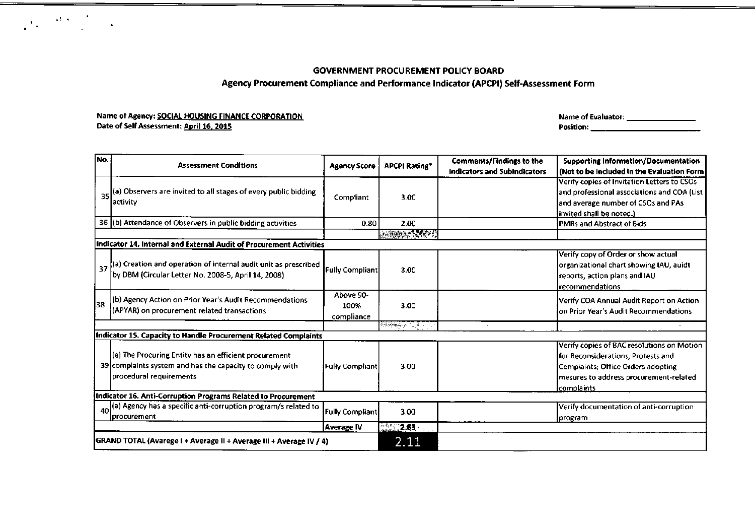# Agency Procurement Compliance and Performance Indicator (APCPI) Self-Assessment Form

### Name of Agency: SOCIAL HOUSING FINANCE CORPORATION Date of Self Assessment: April 16, 2015

 $\label{eq:1.1} \frac{1}{\sqrt{2}}\int_{0}^{\pi} \frac{1}{\sqrt{2}}\left(\frac{1}{\sqrt{2}}\right)^{2}e^{-\frac{1}{2}}\left(\frac{1}{\sqrt{2}}\right)^{2}e^{-\frac{1}{2}}\left(\frac{1}{\sqrt{2}}\right)^{2}e^{-\frac{1}{2}}\left(\frac{1}{\sqrt{2}}\right)^{2}e^{-\frac{1}{2}}\left(\frac{1}{\sqrt{2}}\right)^{2}e^{-\frac{1}{2}}\left(\frac{1}{\sqrt{2}}\right)^{2}e^{-\frac{1}{2}}\left(\frac{1}{\sqrt{2}}\right)^{2}e^{-$ 

Name of Evaluator: \_ Position: \_

| INo.                                                                |                                                                                                                                              |                                 |                      | Comments/Findings to the            | <b>Supporting Information/Documentation</b>                                                                                                                                           |
|---------------------------------------------------------------------|----------------------------------------------------------------------------------------------------------------------------------------------|---------------------------------|----------------------|-------------------------------------|---------------------------------------------------------------------------------------------------------------------------------------------------------------------------------------|
|                                                                     | <b>Assessment Conditions</b>                                                                                                                 | <b>Agency Score</b>             | <b>APCPI Rating*</b> | <b>Indicators and Subindicators</b> | l (Not to be Included in the Evaluation Form                                                                                                                                          |
|                                                                     |                                                                                                                                              |                                 |                      |                                     | Verify copies of Invitation Letters to CSOs                                                                                                                                           |
|                                                                     | (a) Observers are invited to all stages of every public bidding                                                                              |                                 |                      |                                     | and professional associations and COA (List                                                                                                                                           |
| 35                                                                  | lactivity                                                                                                                                    | Compliant                       | 3.00                 |                                     | and average number of CSOs and PAs                                                                                                                                                    |
|                                                                     |                                                                                                                                              |                                 |                      |                                     | (invited shall be noted.)                                                                                                                                                             |
|                                                                     | 36 (b) Attendance of Observers in public bidding activities                                                                                  | 0.80                            | 2.00                 |                                     | <b>IPMRs and Abstract of Bids</b>                                                                                                                                                     |
|                                                                     |                                                                                                                                              |                                 |                      |                                     |                                                                                                                                                                                       |
|                                                                     | Indicator 14. Internal and External Audit of Procurement Activities                                                                          |                                 |                      |                                     |                                                                                                                                                                                       |
|                                                                     | 37 (a) Creation and operation of internal audit unit as prescribed<br>by DBM (Circular Letter No. 2008-5, April 14, 2008)                    | <b>Fully Compliant</b>          | 3.00                 |                                     | Verify copy of Order or show actual<br>organizational chart showing IAU, auidt<br>reports, action plans and IAU<br>Irecommendations                                                   |
| 38                                                                  | (b) Agency Action on Prior Year's Audit Recommendations<br>(APYAR) on procurement related transactions                                       | Above 90-<br>100%<br>compliance | 3.00                 |                                     | Verify COA Annual Audit Report on Action<br>lon Prior Year's Audit Recommendations                                                                                                    |
|                                                                     |                                                                                                                                              |                                 | <b>REPARATION</b>    |                                     |                                                                                                                                                                                       |
|                                                                     | Indicator 15. Capacity to Handle Procurement Related Complaints                                                                              |                                 |                      |                                     |                                                                                                                                                                                       |
|                                                                     | (a) The Procuring Entity has an efficient procurement<br>39 complaints system and has the capacity to comply with<br>procedural requirements | <b>Fully Compliant</b>          | 3.00                 |                                     | Verify copies of BAC resolutions on Motion<br>for Reconsiderations, Protests and<br>Complaints; Office Orders adopting<br>mesures to address procurement-related<br><b>complaints</b> |
| Indicator 16. Anti-Corruption Programs Related to Procurement       |                                                                                                                                              |                                 |                      |                                     |                                                                                                                                                                                       |
|                                                                     | 40 (a) Agency has a specific anti-corruption program/s related to<br>Iprocurement                                                            | <b>Fully Compliant</b>          | 3.00                 |                                     | Verify documentation of anti-corruption<br>program                                                                                                                                    |
|                                                                     |                                                                                                                                              | <b>Average IV</b>               | $2.83$ .             |                                     |                                                                                                                                                                                       |
| GRAND TOTAL (Avarege I + Average II + Average III + Average IV / 4) |                                                                                                                                              |                                 | 2.11                 |                                     |                                                                                                                                                                                       |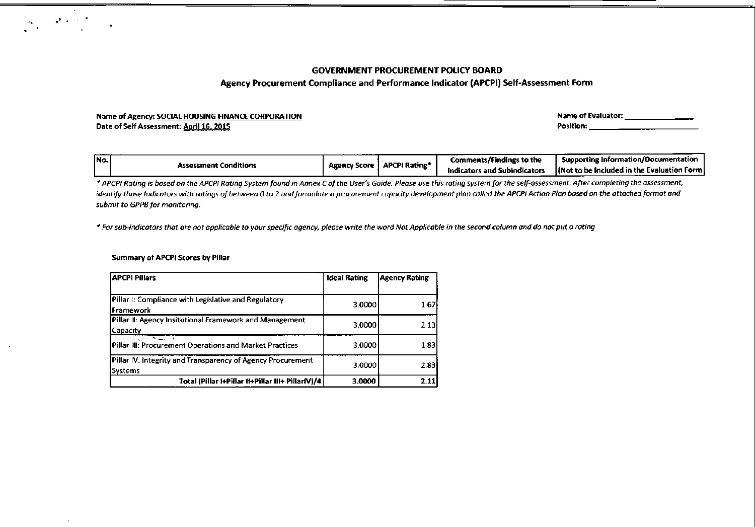### Agency Procurement Compliance and Performance Indicator (APCPI) Self-Assessment Form

#### Name of Agency: SOCIAL HOUSING FINANCE CORPORATION Date of Self Assessment: April 16. 201S Name of Evaluator: \_\_\_\_\_\_\_\_\_\_\_\_\_\_\_\_\_ Position: \_

| -------<br>INo. |                              | <b>Agency Score</b> | <b>APCPI Rating*</b> | <b>Comments/Findings to the</b> | <b>Supporting Information/Documentation</b>         |
|-----------------|------------------------------|---------------------|----------------------|---------------------------------|-----------------------------------------------------|
|                 | <b>Assessment Conditions</b> |                     |                      | icators and Subindicators       | <b>HNot to be included in the Evaluation Form L</b> |

\* APCPI Rating is based on the APCPI Rating System found in Annex C of the User's Guide. Please use this rating system for the self-assessment. After completing the assessment, identify those Indicators with ratings of between 0 to 2 and formulate a procurement capacity development plan called the APCPI Action Plan based on the attached format and *submit* to *GPPBfor monitoring.*

\* For sub-indicators that are not applicable to your specific agency, please write the word Not Applicable in the second column and do not put a rating

#### Summary of APCPI Scores by Pillar

 $\Delta E_{\rm{max}} \sim 10^{-10}$ 

| <b>APCPI Pillars</b>                                        | <b>Ideal Rating</b> | Agency Rating |
|-------------------------------------------------------------|---------------------|---------------|
|                                                             |                     |               |
| Pillar I: Compliance with Legislative and Regulatory        | 3.0000              | 1.67          |
| iFramework                                                  |                     |               |
| Pillar II: Agency Insitutional Framework and Management     | 3.0000              | 2.13          |
| Capacity                                                    |                     |               |
| Pillar III: Procurement Operations and Market Practices     | 3.0000              | 1.83          |
| Pillar IV. Integrity and Transparency of Agency Procurement | 3.0000              | 2.83          |
| Systems                                                     |                     |               |
| Total (Pillar I+Pillar II+Pillar III+ PillarIV)/4           | 3.0000              | 2.11          |